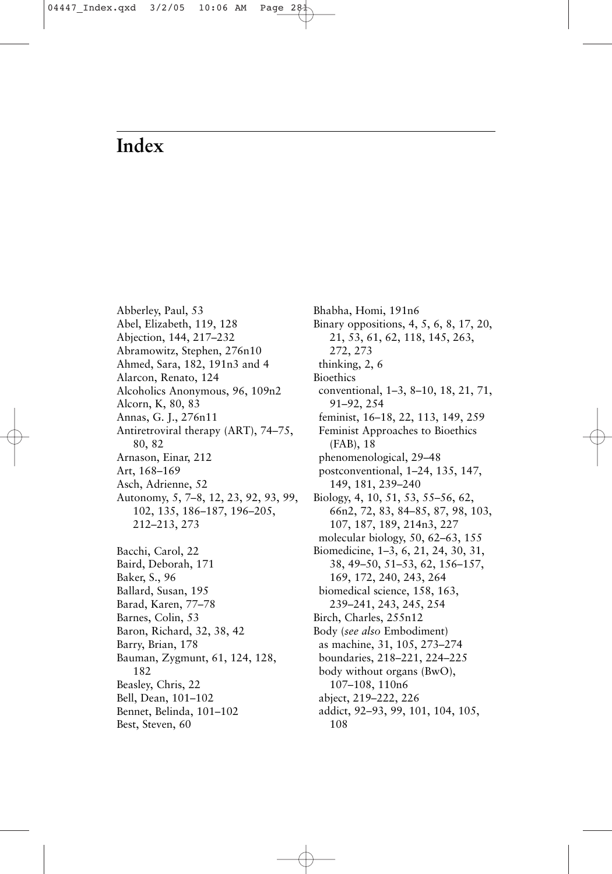## **Index**

Abberley, Paul, 53 Abel, Elizabeth, 119, 128 Abjection, 144, 217–232 Abramowitz, Stephen, 276n10 Ahmed, Sara, 182, 191n3 and 4 Alarcon, Renato, 124 Alcoholics Anonymous, 96, 109n2 Alcorn, K, 80, 83 Annas, G. J., 276n11 Antiretroviral therapy (ART), 74–75, 80, 82 Arnason, Einar, 212 Art, 168–169 Asch, Adrienne, 52 [Autonomy, 5, 7–8, 12, 23, 92, 93, 99,](#page--1-0) 102, 135, 186–187, 196–205, 212–213, 273 Bacchi, Carol, 22 Baird, Deborah, 171 Baker, S., 96 Ballard, Susan, 195 Barad, Karen, 77–78 Barnes, Colin, 53 Baron, Richard, 32, 38, 42 Barry, Brian, 178 Bauman, Zygmunt, 61, 124, 128, 182 Beasley, Chris, 22 Bell, Dean, 101–102 Bennet, Belinda, 101–102 Best, Steven, 60

Bhabha, Homi, 191n6 Binary oppositions, 4, 5, 6, 8, 17, 20, 21, 53, 61, 62, 118, 145, 263, 272, 273 thinking, 2, 6 Bioethics conventional, 1–3, 8–10, 18, 21, 71, 91–92, 254 feminist, 16–18, 22, 113, 149, 259 Feminist Approaches to Bioethics (FAB), 18 phenomenological, 29–48 postconventional, 1–24, 135, 147, 149, 181, 239–240 Biology, 4, 10, 51, 53, 55–56, 62, 66n2, 72, 83, 84–85, 87, 98, 103, 107, 187, 189, 214n3, 227 molecular biology, 50, 62–63, 155 Biomedicine, 1–3, 6, 21, 24, 30, 31, 38, 49–50, 51–53, 62, 156–157, 169, 172, 240, 243, 264 biomedical science, 158, 163, 239–241, 243, 245, 254 Birch, Charles, 255n12 Body (*see also* Embodiment) as machine, 31, 105, 273–274 boundaries, 218–221, 224–225 body without organs (BwO), 107–108, 110n6 abject, 219–222, 226 addict, 92–93, 99, 101, 104, 105, 108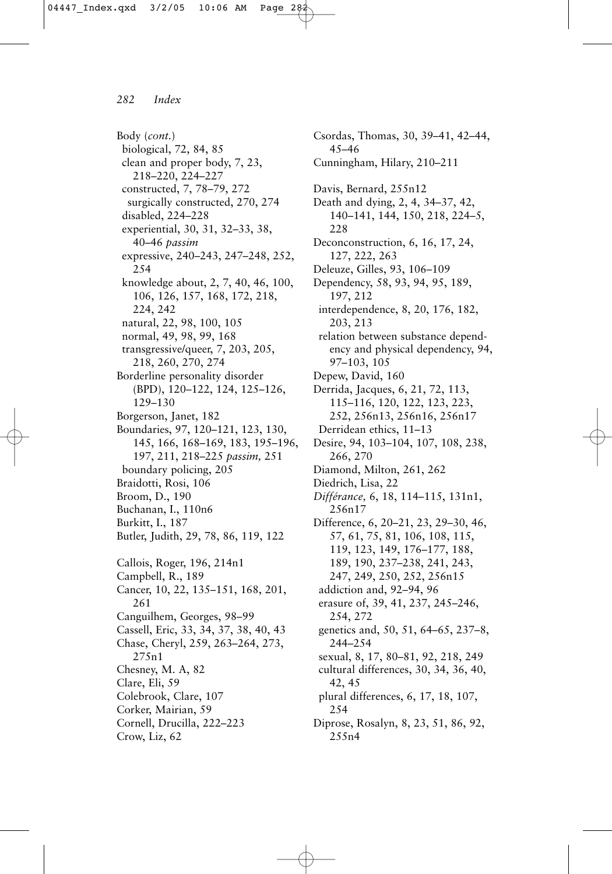Body (*cont.*) biological, 72, 84, 85 clean and proper body, 7, 23, 218–220, 224–227 constructed, 7, 78–79, 272 surgically constructed, 270, 274 disabled, 224–228 experiential, 30, 31, 32–33, 38, 40–46 *passim* expressive, 240–243, 247–248, 252, 254 knowledge about, 2, 7, 40, 46, 100, 106, 126, 157, 168, 172, 218, 224, 242 natural, 22, 98, 100, 105 normal, 49, 98, 99, 168 transgressive/queer, 7, 203, 205, 218, 260, 270, 274 Borderline personality disorder (BPD), 120–122, 124, 125–126, 129–130 Borgerson, Janet, 182 Boundaries, 97, 120–121, 123, 130, 145, 166, 168–169, 183, 195–196, 197, 211, 218–225 *passim,* 251 boundary policing, 205 Braidotti, Rosi, 106 Broom, D., 190 Buchanan, I., 110n6 Burkitt, I., 187 Butler, Judith, 29, 78, 86, 119, 122 Callois, Roger, 196, 214n1 Campbell, R., 189 Cancer, 10, 22, 135–151, 168, 201, 261 Canguilhem, Georges, 98–99 Cassell, Eric, 33, 34, 37, 38, 40, 43 Chase, Cheryl, 259, 263–264, 273, 275n1 Chesney, M. A, 82 Clare, Eli, 59 Colebrook, Clare, 107 Corker, Mairian, 59 Cornell, Drucilla, 222–223 Crow, Liz, 62

Csordas, Thomas, 30, 39–41, 42–44, 45–46 Cunningham, Hilary, 210–211 Davis, Bernard, 255n12 Death and dying, 2, 4, 34–37, 42, 140–141, 144, 150, 218, 224–5, 228 Deconconstruction, 6, 16, 17, 24, 127, 222, 263 Deleuze, Gilles, 93, 106–109 Dependency, 58, 93, 94, 95, 189, 197, 212 interdependence, 8, 20, 176, 182, 203, 213 relation between substance dependency and physical dependency, 94, 97–103, 105 Depew, David, 160 Derrida, Jacques, 6, 21, 72, 113, 115–116, 120, 122, 123, 223, 252, 256n13, 256n16, 256n17 Derridean ethics, 11–13 Desire, 94, 103–104, 107, 108, 238, 266, 270 Diamond, Milton, 261, 262 Diedrich, Lisa, 22 *Différance,* 6, 18, 114–115, 131n1, 256n17 Difference, 6, 20–21, 23, 29–30, 46, 57, 61, 75, 81, 106, 108, 115, 119, 123, 149, 176–177, 188, 189, 190, 237–238, 241, 243, 247, 249, 250, 252, 256n15 addiction and, 92–94, 96 erasure of, 39, 41, 237, 245–246, 254, 272 genetics and, 50, 51, 64–65, 237–8, 244–254 sexual, 8, 17, 80–81, 92, 218, 249 cultural differences, 30, 34, 36, 40, 42, 45 plural differences, 6, 17, 18, 107, 254 Diprose, Rosalyn, 8, 23, 51, 86, 92, 255n4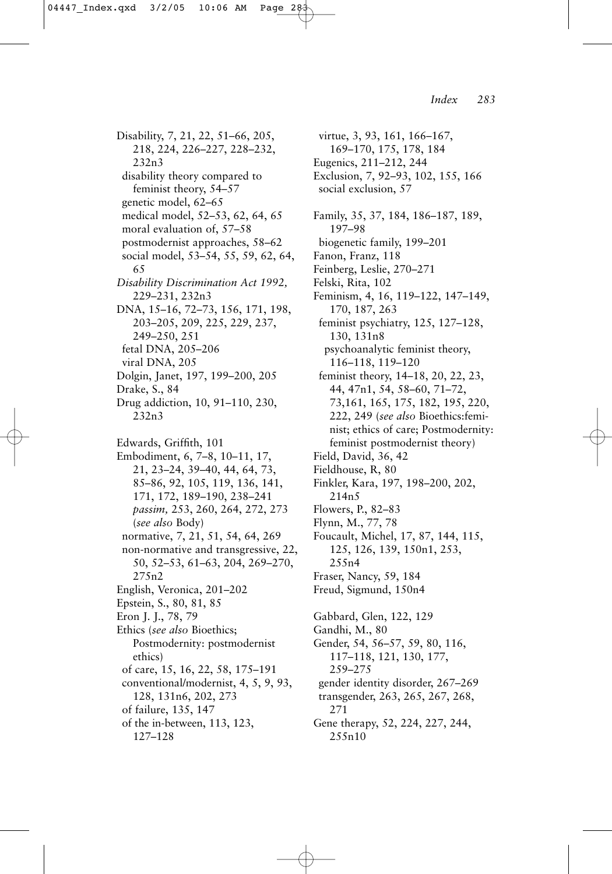Disability, 7, 21, 22, 51–66, 205, 218, 224, 226–227, 228–232, 232n3 disability theory compared to feminist theory, 54–57 genetic model, 62–65 medical model, 52–53, 62, 64, 65 moral evaluation of, 57–58 postmodernist approaches, 58–62 social model, 53–54, 55, 59, 62, 64, 65 *Disability Discrimination Act 1992,* 229–231, 232n3 DNA, 15–16, 72–73, 156, 171, 198, 203–205, 209, 225, 229, 237, 249–250, 251 fetal DNA, 205–206 viral DNA, 205 Dolgin, Janet, 197, 199–200, 205 Drake, S., 84 Drug addiction, 10, 91–110, 230, 232n3 Edwards, Griffith, 101 Embodiment, 6, 7–8, 10–11, 17, 21, 23–24, 39–40, 44, 64, 73, 85–86, 92, 105, 119, 136, 141, 171, 172, 189–190, 238–241 *passim,* 253, 260, 264, 272, 273 (*see also* Body) normative, 7, 21, 51, 54, 64, 269 non-normative and transgressive, 22, 50, 52–53, 61–63, 204, 269–270, 275n2 English, Veronica, 201–202 Epstein, S., 80, 81, 85 Eron J. J., 78, 79 Ethics (*see also* Bioethics; Postmodernity: postmodernist ethics) of care, 15, 16, 22, 58, 175–191 conventional/modernist, 4, 5, 9, 93, 128, 131n6, 202, 273 of failure, 135, 147 of the in-between, 113, 123, 127–128

virtue, 3, 93, 161, 166–167, 169–170, 175, 178, 184 Eugenics, 211–212, 244 Exclusion, 7, 92–93, 102, 155, 166 social exclusion, 57 Family, 35, 37, 184, 186–187, 189, 197–98 biogenetic family, 199–201 Fanon, Franz, 118 Feinberg, Leslie, 270–271 Felski, Rita, 102 Feminism, 4, 16, 119–122, 147–149, 170, 187, 263 feminist psychiatry, 125, 127–128, 130, 131n8 psychoanalytic feminist theory, 116–118, 119–120 feminist theory, 14–18, 20, 22, 23, 44, 47n1, 54, 58–60, 71–72, 73,161, 165, 175, 182, 195, 220, 222, 249 (*see also* Bioethics:feminist; ethics of care; Postmodernity: feminist postmodernist theory) Field, David, 36, 42 Fieldhouse, R, 80 Finkler, Kara, 197, 198–200, 202, 214n5 Flowers, P., 82–83 Flynn, M., 77, 78 Foucault, Michel, 17, 87, 144, 115, 125, 126, 139, 150n1, 253, 255n4 Fraser, Nancy, 59, 184 Freud, Sigmund, 150n4 Gabbard, Glen, 122, 129 Gandhi, M., 80 Gender, 54, 56–57, 59, 80, 116, 117–118, 121, 130, 177, 259–275 gender identity disorder, 267–269 transgender, 263, 265, 267, 268, 271 Gene therapy, 52, 224, 227, 244, 255n10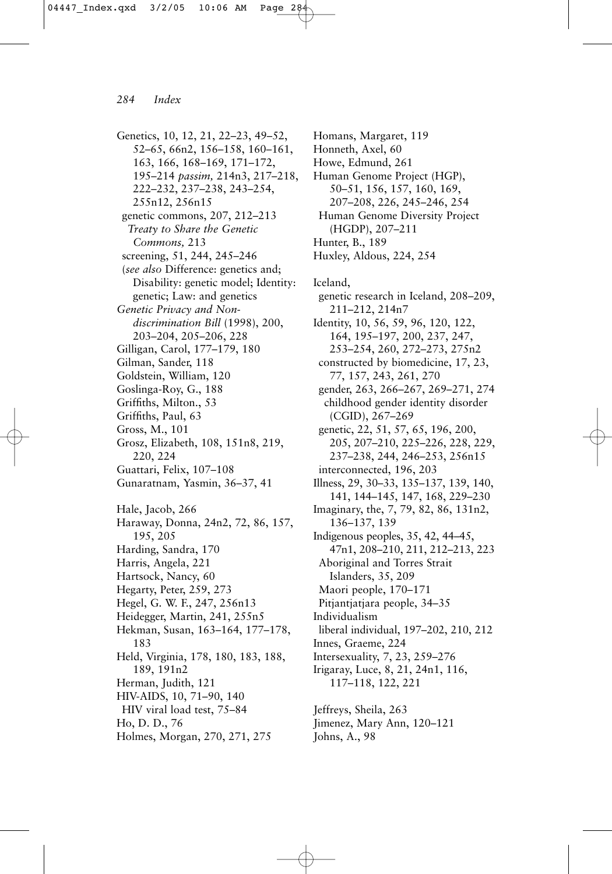Genetics, 10, 12, 21, 22–23, 49–52, 52–65, 66n2, 156–158, 160–161, 163, 166, 168–169, 171–172, 195–214 *passim,* 214n3, 217–218, 222–232, 237–238, 243–254, 255n12, 256n15 genetic commons, 207, 212–213 *Treaty to Share the Genetic Commons,* 213 screening, 51, 244, 245–246 (*see also* Difference: genetics and; Disability: genetic model; Identity: genetic; Law: and genetics *Genetic Privacy and Nondiscrimination Bill* (1998), 200, 203–204, 205–206, 228 Gilligan, Carol, 177–179, 180 Gilman, Sander, 118 Goldstein, William, 120 Goslinga-Roy, G., 188 Griffiths, Milton., 53 Griffiths, Paul, 63 Gross, M., 101 Grosz, Elizabeth, 108, 151n8, 219, 220, 224 Guattari, Felix, 107–108 Gunaratnam, Yasmin, 36–37, 41 Hale, Jacob, 266 Haraway, Donna, 24n2, 72, 86, 157, 195, 205 Harding, Sandra, 170 Harris, Angela, 221 Hartsock, Nancy, 60 Hegarty, Peter, 259, 273 Hegel, G. W. F., 247, 256n13 Heidegger, Martin, 241, 255n5 Hekman, Susan, 163–164, 177–178, 183 Held, Virginia, 178, 180, 183, 188, 189, 191n2 Herman, Judith, 121 HIV-AIDS, 10, 71–90, 140 HIV viral load test, 75–84 Ho, D. D., 76 Holmes, Morgan, 270, 271, 275

Homans, Margaret, 119 Honneth, Axel, 60 Howe, Edmund, 261 Human Genome Project (HGP), 50–51, 156, 157, 160, 169, 207–208, 226, 245–246, 254 Human Genome Diversity Project (HGDP), 207–211 Hunter, B., 189 Huxley, Aldous, 224, 254 Iceland, genetic research in Iceland, 208–209, 211–212, 214n7 Identity, 10, 56, 59, 96, 120, 122, 164, 195–197, 200, 237, 247, 253–254, 260, 272–273, 275n2 constructed by biomedicine, 17, 23, 77, 157, 243, 261, 270 gender, 263, 266–267, 269–271, 274 childhood gender identity disorder (CGID), 267–269 genetic, 22, 51, 57, 65, 196, 200, 205, 207–210, 225–226, 228, 229, 237–238, 244, 246–253, 256n15 interconnected, 196, 203 Illness, 29, 30–33, 135–137, 139, 140, 141, 144–145, 147, 168, 229–230 Imaginary, the, 7, 79, 82, 86, 131n2, 136–137, 139 Indigenous peoples, 35, 42, 44–45, 47n1, 208–210, 211, 212–213, 223 Aboriginal and Torres Strait Islanders, 35, 209 Maori people, 170–171 Pitjantjatjara people, 34–35 Individualism liberal individual, 197–202, 210, 212 Innes, Graeme, 224 Intersexuality, 7, 23, 259–276 Irigaray, Luce, 8, 21, 24n1, 116, 117–118, 122, 221 Jeffreys, Sheila, 263 Jimenez, Mary Ann, 120–121

Johns, A., 98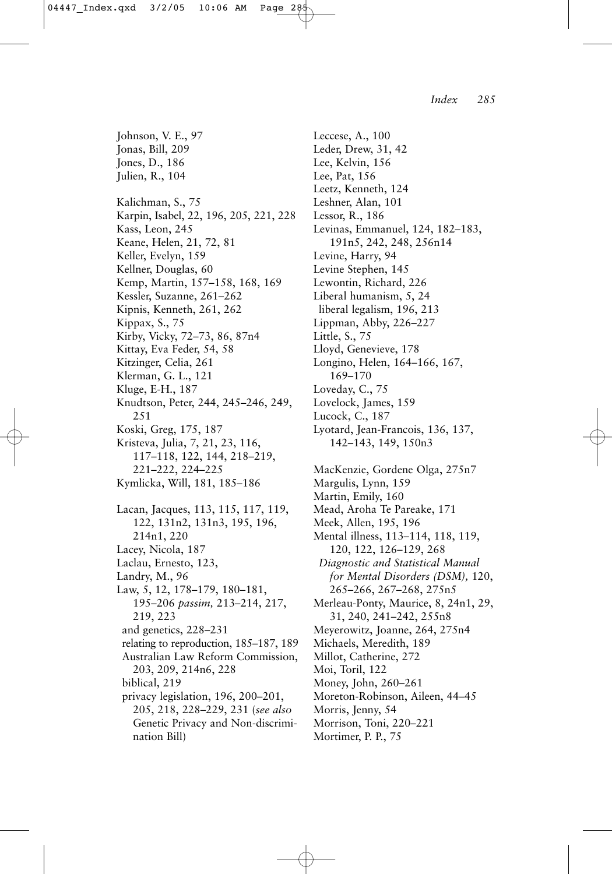Johnson, V. E., 97 Jonas, Bill, 209 Jones, D., 186 Julien, R., 104 Kalichman, S., 75 Karpin, Isabel, 22, 196, 205, 221, 228 Kass, Leon, 245 Keane, Helen, 21, 72, 81 Keller, Evelyn, 159 Kellner, Douglas, 60 Kemp, Martin, 157–158, 168, 169 Kessler, Suzanne, 261–262 Kipnis, Kenneth, 261, 262 Kippax, S., 75 Kirby, Vicky, 72–73, 86, 87n4 Kittay, Eva Feder, 54, 58 Kitzinger, Celia, 261 Klerman, G. L., 121 Kluge, E-H., 187 Knudtson, Peter, 244, 245–246, 249, 251 Koski, Greg, 175, 187 Kristeva, Julia, 7, 21, 23, 116, 117–118, 122, 144, 218–219, 221–222, 224–225 Kymlicka, Will, 181, 185–186 Lacan, Jacques, 113, 115, 117, 119, 122, 131n2, 131n3, 195, 196, 214n1, 220 Lacey, Nicola, 187 Laclau, Ernesto, 123, Landry, M., 96 Law, 5, 12, 178–179, 180–181, 195–206 *passim,* 213–214, 217, 219, 223 and genetics, 228–231 relating to reproduction, 185–187, 189 Australian Law Reform Commission, 203, 209, 214n6, 228 biblical, 219 privacy legislation, 196, 200–201, 205, 218, 228–229, 231 (*see also* Genetic Privacy and Non-discrimination Bill)

Leccese, A., 100 Leder, Drew, 31, 42 Lee, Kelvin, 156 Lee, Pat, 156 Leetz, Kenneth, 124 Leshner, Alan, 101 Lessor, R., 186 Levinas, Emmanuel, 124, 182–183, 191n5, 242, 248, 256n14 Levine, Harry, 94 Levine Stephen, 145 Lewontin, Richard, 226 Liberal humanism, 5, 24 liberal legalism, 196, 213 Lippman, Abby, 226–227 Little, S., 75 Lloyd, Genevieve, 178 Longino, Helen, 164–166, 167, 169–170 Loveday, C., 75 Lovelock, James, 159 Lucock, C., 187 Lyotard, Jean-Francois, 136, 137, 142–143, 149, 150n3 MacKenzie, Gordene Olga, 275n7 Margulis, Lynn, 159 Martin, Emily, 160 Mead, Aroha Te Pareake, 171 Meek, Allen, 195, 196 Mental illness, 113–114, 118, 119, 120, 122, 126–129, 268 *Diagnostic and Statistical Manual for Mental Disorders (DSM),* 120, 265–266, 267–268, 275n5 Merleau-Ponty, Maurice, 8, 24n1, 29, 31, 240, 241–242, 255n8 Meyerowitz, Joanne, 264, 275n4 Michaels, Meredith, 189 Millot, Catherine, 272 Moi, Toril, 122 Money, John, 260–261 Moreton-Robinson, Aileen, 44–45 Morris, Jenny, 54 Morrison, Toni, 220–221 Mortimer, P. P., 75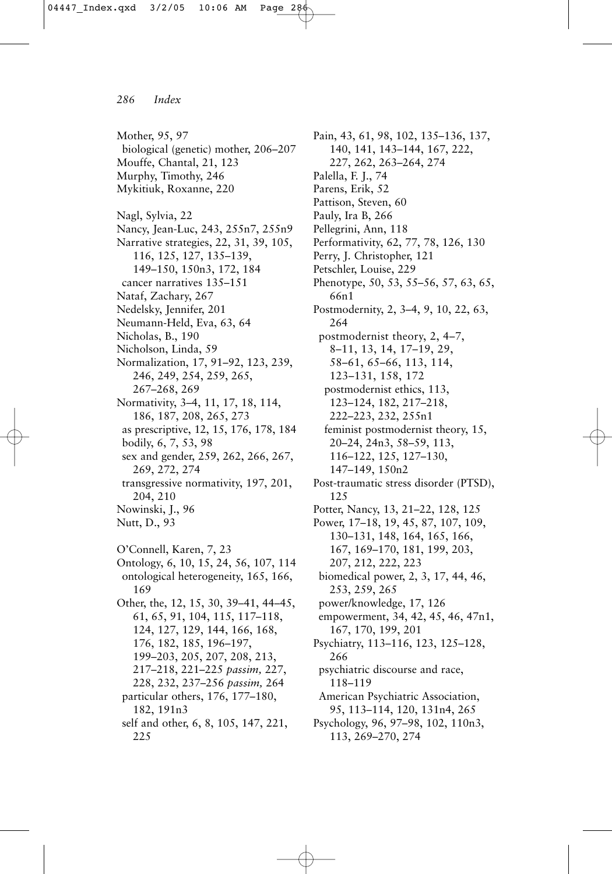Mother, 95, 97 biological (genetic) mother, 206–207 Mouffe, Chantal, 21, 123 Murphy, Timothy, 246 Mykitiuk, Roxanne, 220 Nagl, Sylvia, 22 Nancy, Jean-Luc, 243, 255n7, 255n9 Narrative strategies, 22, 31, 39, 105, 116, 125, 127, 135–139, 149–150, 150n3, 172, 184 cancer narratives 135–151 Nataf, Zachary, 267 Nedelsky, Jennifer, 201 Neumann-Held, Eva, 63, 64 Nicholas, B., 190 Nicholson, Linda, 59 Normalization, 17, 91–92, 123, 239, 246, 249, 254, 259, 265, 267–268, 269 Normativity, 3–4, 11, 17, 18, 114, 186, 187, 208, 265, 273 as prescriptive, 12, 15, 176, 178, 184 bodily, 6, 7, 53, 98 sex and gender, 259, 262, 266, 267, 269, 272, 274 transgressive normativity, 197, 201, 204, 210 Nowinski, J., 96 Nutt, D., 93 O'Connell, Karen, 7, 23 Ontology, 6, 10, 15, 24, 56, 107, 114 ontological heterogeneity, 165, 166, 169 Other, the, 12, 15, 30, 39–41, 44–45, 61, 65, 91, 104, 115, 117–118, 124, 127, 129, 144, 166, 168, 176, 182, 185, 196–197, 199–203, 205, 207, 208, 213, 217–218, 221–225 *passim,* 227, 228, 232, 237–256 *passim,* 264 particular others, 176, 177–180, 182, 191n3 self and other, 6, 8, 105, 147, 221,

225

Pain, 43, 61, 98, 102, 135–136, 137, 140, 141, 143–144, 167, 222, 227, 262, 263–264, 274 Palella, F. J., 74 Parens, Erik, 52 Pattison, Steven, 60 Pauly, Ira B, 266 Pellegrini, Ann, 118 Performativity, 62, 77, 78, 126, 130 Perry, J. Christopher, 121 Petschler, Louise, 229 Phenotype, 50, 53, 55–56, 57, 63, 65, 66n1 Postmodernity, 2, 3–4, 9, 10, 22, 63, 264 postmodernist theory, 2, 4–7, 8–11, 13, 14, 17–19, 29, 58–61, 65–66, 113, 114, 123–131, 158, 172 postmodernist ethics, 113, 123–124, 182, 217–218, 222–223, 232, 255n1 feminist postmodernist theory, 15, 20–24, 24n3, 58–59, 113, 116–122, 125, 127–130, 147–149, 150n2 Post-traumatic stress disorder (PTSD), 125 Potter, Nancy, 13, 21–22, 128, 125 Power, 17–18, 19, 45, 87, 107, 109, 130–131, 148, 164, 165, 166, 167, 169–170, 181, 199, 203, 207, 212, 222, 223 biomedical power, 2, 3, 17, 44, 46, 253, 259, 265 power/knowledge, 17, 126 empowerment, 34, 42, 45, 46, 47n1, 167, 170, 199, 201 Psychiatry, 113–116, 123, 125–128, 266 psychiatric discourse and race, 118–119 American Psychiatric Association, 95, 113–114, 120, 131n4, 265 Psychology, 96, 97–98, 102, 110n3, 113, 269–270, 274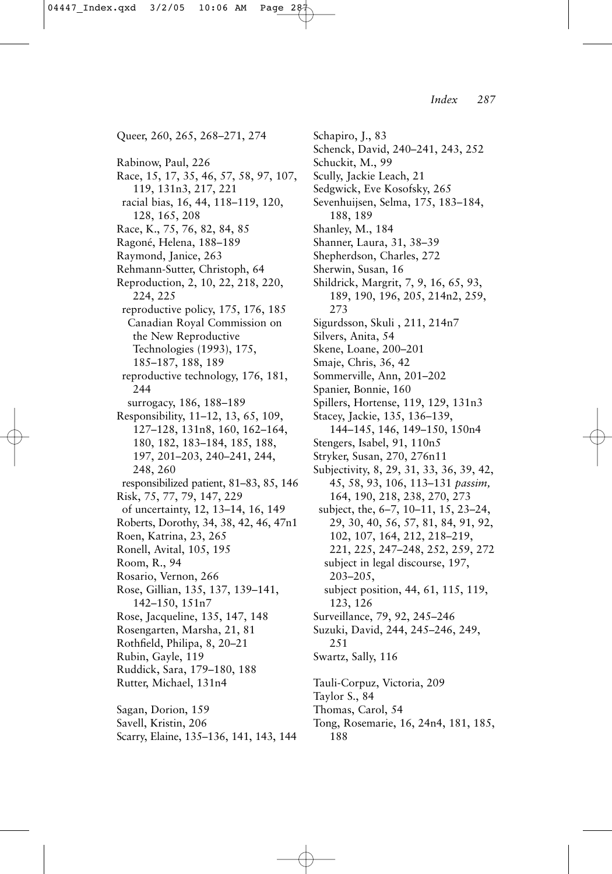Queer, 260, 265, 268–271, 274 Rabinow, Paul, 226 Race, 15, 17, 35, 46, 57, 58, 97, 107, 119, 131n3, 217, 221 racial bias, 16, 44, 118–119, 120, 128, 165, 208 Race, K., 75, 76, 82, 84, 85 Ragoné, Helena, 188–189 Raymond, Janice, 263 Rehmann-Sutter, Christoph, 64 Reproduction, 2, 10, 22, 218, 220, 224, 225 reproductive policy, 175, 176, 185 Canadian Royal Commission on the New Reproductive Technologies (1993), 175, 185–187, 188, 189 reproductive technology, 176, 181, 244 surrogacy, 186, 188–189 Responsibility, 11–12, 13, 65, 109, 127–128, 131n8, 160, 162–164, 180, 182, 183–184, 185, 188, 197, 201–203, 240–241, 244, 248, 260 responsibilized patient, 81–83, 85, 146 Risk, 75, 77, 79, 147, 229 of uncertainty, 12, 13–14, 16, 149 Roberts, Dorothy, 34, 38, 42, 46, 47n1 Roen, Katrina, 23, 265 Ronell, Avital, 105, 195 Room, R., 94 Rosario, Vernon, 266 Rose, Gillian, 135, 137, 139–141, 142–150, 151n7 Rose, Jacqueline, 135, 147, 148 Rosengarten, Marsha, 21, 81 Rothfield, Philipa, 8, 20–21 Rubin, Gayle, 119 Ruddick, Sara, 179–180, 188 Rutter, Michael, 131n4 Sagan, Dorion, 159 Savell, Kristin, 206 Scarry, Elaine, 135–136, 141, 143, 144

Sedgwick, Eve Kosofsky, 265 Sevenhuijsen, Selma, 175, 183–184, 188, 189 Shanley, M., 184 Shanner, Laura, 31, 38–39 Shepherdson, Charles, 272 Sherwin, Susan, 16 Shildrick, Margrit, 7, 9, 16, 65, 93, 189, 190, 196, 205, 214n2, 259, 273 Sigurdsson, Skuli , 211, 214n7 Silvers, Anita, 54 Skene, Loane, 200–201 Smaje, Chris, 36, 42 Sommerville, Ann, 201–202 Spanier, Bonnie, 160 Spillers, Hortense, 119, 129, 131n3 Stacey, Jackie, 135, 136–139, 144–145, 146, 149–150, 150n4 Stengers, Isabel, 91, 110n5 Stryker, Susan, 270, 276n11 Subjectivity, 8, 29, 31, 33, 36, 39, 42, 45, 58, 93, 106, 113–131 *passim,* 164, 190, 218, 238, 270, 273 subject, the, 6–7, 10–11, 15, 23–24, 29, 30, 40, 56, 57, 81, 84, 91, 92, 102, 107, 164, 212, 218–219, 221, 225, 247–248, 252, 259, 272 subject in legal discourse, 197, 203–205, subject position, 44, 61, 115, 119, 123, 126 Surveillance, 79, 92, 245–246 Suzuki, David, 244, 245–246, 249, 251 Swartz, Sally, 116 Tauli-Corpuz, Victoria, 209 Taylor S., 84 Thomas, Carol, 54 Tong, Rosemarie, 16, 24n4, 181, 185, 188

Schapiro, J., 83

Schuckit, M., 99 Scully, Jackie Leach, 21

Schenck, David, 240–241, 243, 252